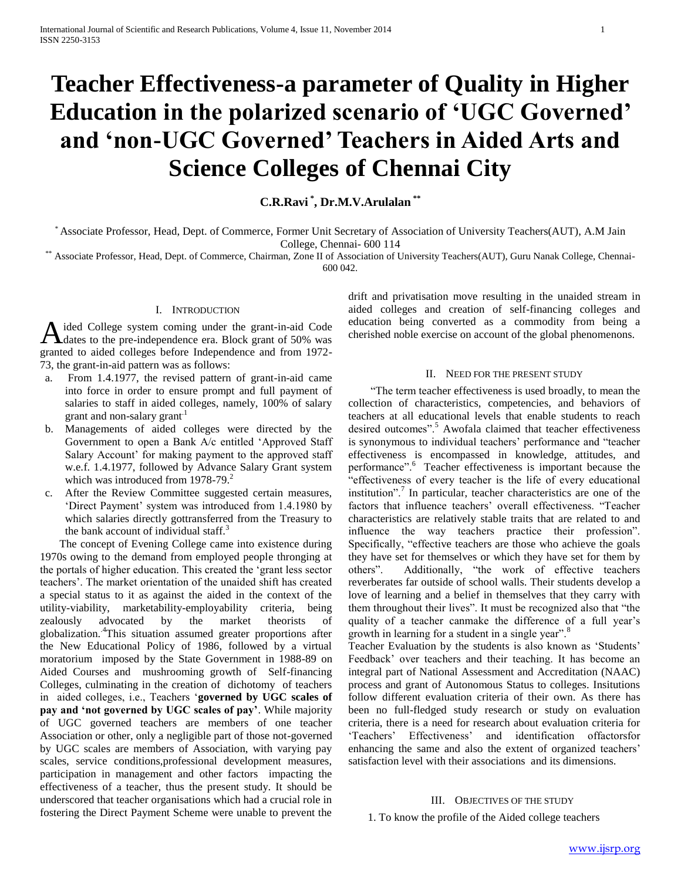# **Teacher Effectiveness-a parameter of Quality in Higher Education in the polarized scenario of 'UGC Governed' and 'non-UGC Governed' Teachers in Aided Arts and Science Colleges of Chennai City**

**C.R.Ravi \* , Dr.M.V.Arulalan \*\***

\* Associate Professor, Head, Dept. of Commerce, Former Unit Secretary of Association of University Teachers(AUT), A.M Jain College, Chennai- 600 114

\*\* Associate Professor, Head, Dept. of Commerce, Chairman, Zone II of Association of University Teachers(AUT), Guru Nanak College, Chennai-600 042.

## I. INTRODUCTION

ided College system coming under the grant-in-aid Code dates to the pre-independence era. Block grant of 50% was granted to aided colleges before Independence and from 1972- 73, the grant-in-aid pattern was as follows: A

- a. From 1.4.1977, the revised pattern of grant-in-aid came into force in order to ensure prompt and full payment of salaries to staff in aided colleges, namely, 100% of salary grant and non-salary grant<sup>1</sup>
- b. Managements of aided colleges were directed by the Government to open a Bank A/c entitled 'Approved Staff Salary Account' for making payment to the approved staff w.e.f. 1.4.1977, followed by Advance Salary Grant system which was introduced from 1978-79.<sup>2</sup>
- c. After the Review Committee suggested certain measures, 'Direct Payment' system was introduced from 1.4.1980 by which salaries directly gottransferred from the Treasury to the bank account of individual staff. $3$

 The concept of Evening College came into existence during 1970s owing to the demand from employed people thronging at the portals of higher education. This created the 'grant less sector teachers'. The market orientation of the unaided shift has created a special status to it as against the aided in the context of the utility-viability, marketability-employability criteria, being zealously advocated by the market theorists of globalization..4This situation assumed greater proportions after the New Educational Policy of 1986, followed by a virtual moratorium imposed by the State Government in 1988-89 on Aided Courses and mushrooming growth of Self-financing Colleges, culminating in the creation of dichotomy of teachers in aided colleges, i.e., Teachers '**governed by UGC scales of pay and 'not governed by UGC scales of pay'**. While majority of UGC governed teachers are members of one teacher Association or other, only a negligible part of those not-governed by UGC scales are members of Association, with varying pay scales, service conditions,professional development measures, participation in management and other factors impacting the effectiveness of a teacher, thus the present study. It should be underscored that teacher organisations which had a crucial role in fostering the Direct Payment Scheme were unable to prevent the drift and privatisation move resulting in the unaided stream in aided colleges and creation of self-financing colleges and education being converted as a commodity from being a cherished noble exercise on account of the global phenomenons.

#### II. NEED FOR THE PRESENT STUDY

 "The term teacher effectiveness is used broadly, to mean the collection of characteristics, competencies, and behaviors of teachers at all educational levels that enable students to reach desired outcomes". Awofala claimed that teacher effectiveness is synonymous to individual teachers' performance and "teacher effectiveness is encompassed in knowledge, attitudes, and performance".<sup>6</sup> Teacher effectiveness is important because the effectiveness of every teacher is the life of every educational institution".<sup>7</sup> In particular, teacher characteristics are one of the factors that influence teachers' overall effectiveness. "Teacher characteristics are relatively stable traits that are related to and influence the way teachers practice their profession". Specifically, "effective teachers are those who achieve the goals they have set for themselves or which they have set for them by others". Additionally, "the work of effective teachers" Additionally, "the work of effective teachers reverberates far outside of school walls. Their students develop a love of learning and a belief in themselves that they carry with them throughout their lives". It must be recognized also that "the quality of a teacher canmake the difference of a full year's growth in learning for a student in a single year".<sup>8</sup>

Teacher Evaluation by the students is also known as 'Students' Feedback' over teachers and their teaching. It has become an integral part of National Assessment and Accreditation (NAAC) process and grant of Autonomous Status to colleges. Insitutions follow different evaluation criteria of their own. As there has been no full-fledged study research or study on evaluation criteria, there is a need for research about evaluation criteria for 'Teachers' Effectiveness' and identification offactorsfor enhancing the same and also the extent of organized teachers' satisfaction level with their associations and its dimensions.

#### III. OBJECTIVES OF THE STUDY

1. To know the profile of the Aided college teachers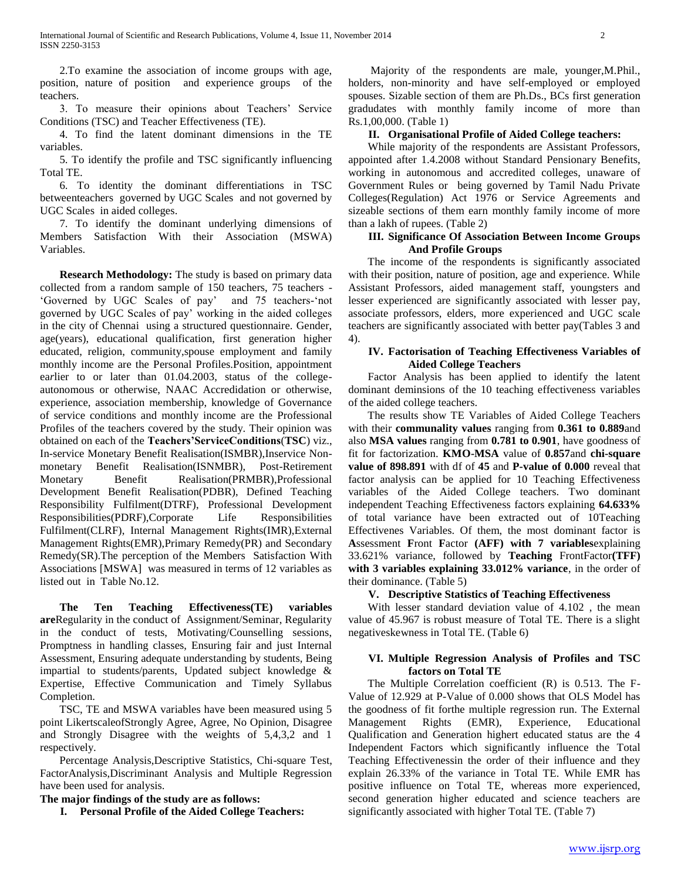2.To examine the association of income groups with age, position, nature of position and experience groups of the teachers.

 3. To measure their opinions about Teachers' Service Conditions (TSC) and Teacher Effectiveness (TE).

 4. To find the latent dominant dimensions in the TE variables.

 5. To identify the profile and TSC significantly influencing Total TE.

 6. To identity the dominant differentiations in TSC betweenteachers governed by UGC Scales and not governed by UGC Scales in aided colleges.

 7. To identify the dominant underlying dimensions of Members Satisfaction With their Association (MSWA) Variables.

 **Research Methodology:** The study is based on primary data collected from a random sample of 150 teachers, 75 teachers - 'Governed by UGC Scales of pay' and 75 teachers-'not governed by UGC Scales of pay' working in the aided colleges in the city of Chennai using a structured questionnaire. Gender, age(years), educational qualification, first generation higher educated, religion, community,spouse employment and family monthly income are the Personal Profiles.Position, appointment ea*r*lier to or later than 01.04.2003, status of the collegeautonomous or otherwise, NAAC Accredidation or otherwise, experience, association membership, knowledge of Governance of service conditions and monthly income are the Professional Profiles of the teachers covered by the study. Their opinion was obtained on each of the **Teachers'ServiceConditions**(**TSC**) viz., In-service Monetary Benefit Realisation(ISMBR),Inservice Nonmonetary Benefit Realisation(ISNMBR), Post-Retirement Monetary Benefit Realisation(PRMBR), Professional Development Benefit Realisation(PDBR), Defined Teaching Responsibility Fulfilment(DTRF), Professional Development Responsibilities(PDRF),Corporate Life Responsibilities Fulfilment(CLRF), Internal Management Rights(IMR),External Management Rights(EMR),Primary Remedy(PR) and Secondary Remedy(SR).The perception of the Members Satisfaction With Associations [MSWA] was measured in terms of 12 variables as listed out in Table No.12.

 **The Ten Teaching Effectiveness(TE) variables are**Regularity in the conduct of Assignment/Seminar, Regularity in the conduct of tests, Motivating/Counselling sessions, Promptness in handling classes, Ensuring fair and just Internal Assessment, Ensuring adequate understanding by students, Being impartial to students/parents, Updated subject knowledge & Expertise, Effective Communication and Timely Syllabus Completion.

 TSC, TE and MSWA variables have been measured using 5 point LikertscaleofStrongly Agree, Agree, No Opinion, Disagree and Strongly Disagree with the weights of 5,4,3,2 and 1 respectively.

 Percentage Analysis,Descriptive Statistics, Chi-square Test, FactorAnalysis,Discriminant Analysis and Multiple Regression have been used for analysis.

**The major findings of the study are as follows:**

**I. Personal Profile of the Aided College Teachers:**

 Majority of the respondents are male, younger,M.Phil., holders, non-minority and have self-employed or employed spouses. Sizable section of them are Ph.Ds., BCs first generation gradudates with monthly family income of more than Rs.1,00,000. (Table 1)

#### **II. Organisational Profile of Aided College teachers:**

 While majority of the respondents are Assistant Professors, appointed after 1.4.2008 without Standard Pensionary Benefits, working in autonomous and accredited colleges, unaware of Government Rules or being governed by Tamil Nadu Private Colleges(Regulation) Act 1976 or Service Agreements and sizeable sections of them earn monthly family income of more than a lakh of rupees. (Table 2)

#### **III. Significance Of Association Between Income Groups And Profile Groups**

 The income of the respondents is significantly associated with their position, nature of position, age and experience. While Assistant Professors, aided management staff, youngsters and lesser experienced are significantly associated with lesser pay, associate professors, elders, more experienced and UGC scale teachers are significantly associated with better pay(Tables 3 and 4).

## **IV. Factorisation of Teaching Effectiveness Variables of Aided College Teachers**

 Factor Analysis has been applied to identify the latent dominant deminsions of the 10 teaching effectiveness variables of the aided college teachers.

 The results show TE Variables of Aided College Teachers with their **communality values** ranging from **0.361 to 0.889**and also **MSA values** ranging from **0.781 to 0.901**, have goodness of fit for factorization. **KMO-MSA** value of **0.857**and **chi-square value of 898.891** with df of **45** and **P-value of 0.000** reveal that factor analysis can be applied for 10 Teaching Effectiveness variables of the Aided College teachers. Two dominant independent Teaching Effectiveness factors explaining **64.633%** of total variance have been extracted out of 10Teaching Effectivenes Variables. Of them, the most dominant factor is **A**ssessment **F**ront **F**actor **(AFF) with 7 variables**explaining 33.621% variance, followed by **Teaching** FrontFactor**(TFF) with 3 variables explaining 33.012% variance**, in the order of their dominance. (Table 5)

#### **V. Descriptive Statistics of Teaching Effectiveness**

 With lesser standard deviation value of 4.102 , the mean value of 45.967 is robust measure of Total TE. There is a slight negativeskewness in Total TE. (Table 6)

#### **VI. Multiple Regression Analysis of Profiles and TSC factors on Total TE**

 The Multiple Correlation coefficient (R) is 0.513. The F-Value of 12.929 at P-Value of 0.000 shows that OLS Model has the goodness of fit forthe multiple regression run. The External Management Rights (EMR), Experience, Educational Qualification and Generation highert educated status are the 4 Independent Factors which significantly influence the Total Teaching Effectivenessin the order of their influence and they explain 26.33% of the variance in Total TE. While EMR has positive influence on Total TE, whereas more experienced, second generation higher educated and science teachers are significantly associated with higher Total TE. (Table 7)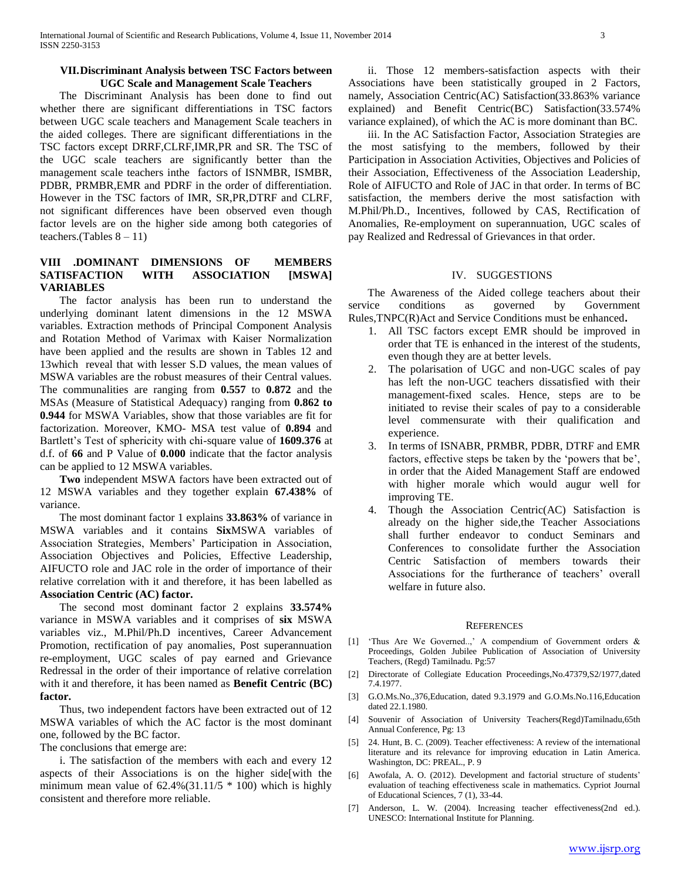#### **VII.Discriminant Analysis between TSC Factors between UGC Scale and Management Scale Teachers**

 The Discriminant Analysis has been done to find out whether there are significant differentiations in TSC factors between UGC scale teachers and Management Scale teachers in the aided colleges. There are significant differentiations in the TSC factors except DRRF,CLRF,IMR,PR and SR. The TSC of the UGC scale teachers are significantly better than the management scale teachers inthe factors of ISNMBR, ISMBR, PDBR, PRMBR,EMR and PDRF in the order of differentiation. However in the TSC factors of IMR, SR,PR,DTRF and CLRF, not significant differences have been observed even though factor levels are on the higher side among both categories of teachers.(Tables  $8 - 11$ )

## **VIII .DOMINANT DIMENSIONS OF MEMBERS SATISFACTION WITH ASSOCIATION [MSWA] VARIABLES**

 The factor analysis has been run to understand the underlying dominant latent dimensions in the 12 MSWA variables. Extraction methods of Principal Component Analysis and Rotation Method of Varimax with Kaiser Normalization have been applied and the results are shown in Tables 12 and 13which reveal that with lesser S.D values, the mean values of MSWA variables are the robust measures of their Central values. The communalities are ranging from **0.557** to **0.872** and the MSAs (Measure of Statistical Adequacy) ranging from **0.862 to 0.944** for MSWA Variables, show that those variables are fit for factorization. Moreover, KMO- MSA test value of **0.894** and Bartlett's Test of sphericity with chi-square value of **1609.376** at d.f. of **66** and P Value of **0.000** indicate that the factor analysis can be applied to 12 MSWA variables.

 **Two** independent MSWA factors have been extracted out of 12 MSWA variables and they together explain **67.438%** of variance.

 The most dominant factor 1 explains **33.863%** of variance in MSWA variables and it contains **Six**MSWA variables of Association Strategies, Members' Participation in Association, Association Objectives and Policies, Effective Leadership, AIFUCTO role and JAC role in the order of importance of their relative correlation with it and therefore, it has been labelled as **Association Centric (AC) factor.**

 The second most dominant factor 2 explains **33.574%** variance in MSWA variables and it comprises of **six** MSWA variables viz., M.Phil/Ph.D incentives, Career Advancement Promotion, rectification of pay anomalies, Post superannuation re-employment, UGC scales of pay earned and Grievance Redressal in the order of their importance of relative correlation with it and therefore, it has been named as **Benefit Centric (BC) factor.**

 Thus, two independent factors have been extracted out of 12 MSWA variables of which the AC factor is the most dominant one, followed by the BC factor.

The conclusions that emerge are:

 i. The satisfaction of the members with each and every 12 aspects of their Associations is on the higher side[with the minimum mean value of  $62.4\%(31.11/5 * 100)$  which is highly consistent and therefore more reliable.

 ii. Those 12 members-satisfaction aspects with their Associations have been statistically grouped in 2 Factors, namely, Association Centric(AC) Satisfaction(33.863% variance explained) and Benefit Centric(BC) Satisfaction(33.574% variance explained), of which the AC is more dominant than BC.

 iii. In the AC Satisfaction Factor, Association Strategies are the most satisfying to the members, followed by their Participation in Association Activities, Objectives and Policies of their Association, Effectiveness of the Association Leadership, Role of AIFUCTO and Role of JAC in that order. In terms of BC satisfaction, the members derive the most satisfaction with M.Phil/Ph.D., Incentives, followed by CAS, Rectification of Anomalies, Re-employment on superannuation, UGC scales of pay Realized and Redressal of Grievances in that order.

#### IV. SUGGESTIONS

 The Awareness of the Aided college teachers about their service conditions as governed by Government Rules,TNPC(R)Act and Service Conditions must be enhanced**.**

- 1. All TSC factors except EMR should be improved in order that TE is enhanced in the interest of the students, even though they are at better levels.
- 2. The polarisation of UGC and non-UGC scales of pay has left the non-UGC teachers dissatisfied with their management-fixed scales. Hence, steps are to be initiated to revise their scales of pay to a considerable level commensurate with their qualification and experience.
- 3. In terms of ISNABR, PRMBR, PDBR, DTRF and EMR factors, effective steps be taken by the 'powers that be', in order that the Aided Management Staff are endowed with higher morale which would augur well for improving TE.
- 4. Though the Association Centric(AC) Satisfaction is already on the higher side,the Teacher Associations shall further endeavor to conduct Seminars and Conferences to consolidate further the Association Centric Satisfaction of members towards their Associations for the furtherance of teachers' overall welfare in future also.

#### **REFERENCES**

- [1] 'Thus Are We Governed..,' A compendium of Government orders & Proceedings, Golden Jubilee Publication of Association of University Teachers, (Regd) Tamilnadu. Pg:57
- [2] Directorate of Collegiate Education Proceedings,No.47379,S2/1977,dated 7.4.1977.
- [3] G.O.Ms.No.,376,Education, dated 9.3.1979 and G.O.Ms.No.116,Education dated 22.1.1980.
- [4] Souvenir of Association of University Teachers(Regd)Tamilnadu,65th Annual Conference, Pg: 13
- [5] 24. Hunt, B. C. (2009). Teacher effectiveness: A review of the international literature and its relevance for improving education in Latin America. Washington, DC: PREAL., P. 9
- [6] Awofala, A. O. (2012). Development and factorial structure of students' evaluation of teaching effectiveness scale in mathematics. Cypriot Journal of Educational Sciences, 7 (1), 33-44.
- [7] Anderson, L. W. (2004). Increasing teacher effectiveness(2nd ed.). UNESCO: International Institute for Planning.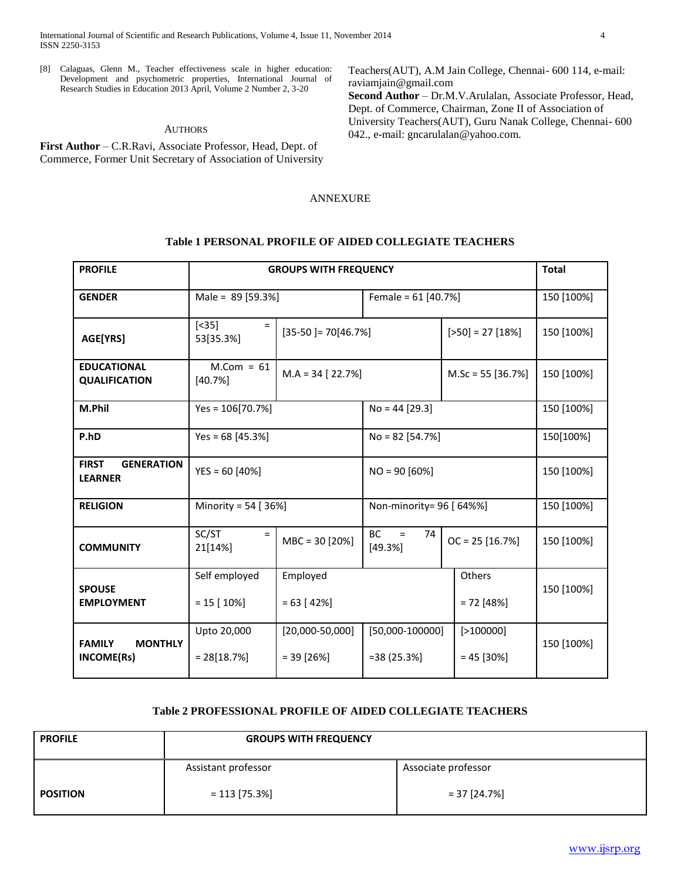[8] Calaguas, Glenn M., Teacher effectiveness scale in higher education: Development and psychometric properties, International Journal of Research Studies in Education 2013 April, Volume 2 Number 2, 3-20

## AUTHORS

**First Author** – C.R.Ravi, Associate Professor, Head, Dept. of Commerce, Former Unit Secretary of Association of University Teachers(AUT), A.M Jain College, Chennai- 600 114, e-mail: raviamjain@gmail.com

**Second Author** – Dr.M.V.Arulalan, Associate Professor, Head, Dept. of Commerce, Chairman, Zone II of Association of University Teachers(AUT), Guru Nanak College, Chennai- 600 042., e-mail: gncarulalan@yahoo.com.

#### ANNEXURE

#### **Table 1 PERSONAL PROFILE OF AIDED COLLEGIATE TEACHERS**

| <b>PROFILE</b>                                      |                                  | <b>GROUPS WITH FREQUENCY</b>       |                                                                  |                        | <b>Total</b> |  |
|-----------------------------------------------------|----------------------------------|------------------------------------|------------------------------------------------------------------|------------------------|--------------|--|
| <b>GENDER</b>                                       | Male = 89 [59.3%]                |                                    | Female = $61$ [40.7%]                                            |                        | 150 [100%]   |  |
| AGE[YRS]                                            | $[<35]$<br>$\equiv$<br>53[35.3%] |                                    | $[35-50] = 70[46.7%]$<br>$[>50] = 27 [18%]$                      |                        | 150 [100%]   |  |
| <b>EDUCATIONAL</b><br><b>QUALIFICATION</b>          | $M.Com = 61$<br>[40.7%]          | $M.A = 34 [22.7%]$                 | $M.Sc = 55$ [36.7%]                                              |                        | 150 [100%]   |  |
| M.Phil                                              | $Yes = 106[70.7%]$               |                                    | $No = 44 [29.3]$                                                 |                        | 150 [100%]   |  |
| P.hD                                                | Yes = $68$ [45.3%]               | $No = 82 [54.7%]$                  |                                                                  |                        | 150[100%]    |  |
| <b>FIRST</b><br><b>GENERATION</b><br><b>LEARNER</b> | $YES = 60 [40%]$                 |                                    |                                                                  | $NO = 90 [60%]$        |              |  |
| <b>RELIGION</b>                                     | Minority = 54 $[36\%]$           |                                    | Non-minority= 96 [ 64%%]                                         |                        | 150 [100%]   |  |
| <b>COMMUNITY</b>                                    | SC/ST<br>$\equiv$<br>21[14%]     | $MBC = 30 [20%]$                   | <b>BC</b><br>74<br>$\equiv$<br>[49.3%]                           | $OC = 25 [16.7%]$      | 150 [100%]   |  |
| <b>SPOUSE</b><br><b>EMPLOYMENT</b>                  | Self employed<br>$= 15$ [ 10%]   | Employed<br>$= 63 [42\%]$          |                                                                  | Others<br>$= 72$ [48%] | 150 [100%]   |  |
| <b>MONTHLY</b><br><b>FAMILY</b><br>INCOME(Rs)       | Upto 20,000<br>$= 28[18.7%]$     | $[20,000-50,000]$<br>$= 39 [26\%]$ | $[50,000-100000]$<br>[>100000]<br>$= 38(25.3\%)$<br>$= 45$ [30%] |                        | 150 [100%]   |  |

#### **Table 2 PROFESSIONAL PROFILE OF AIDED COLLEGIATE TEACHERS**

| <b>PROFILE</b>  | <b>GROUPS WITH FREQUENCY</b> |                     |
|-----------------|------------------------------|---------------------|
|                 | Assistant professor          | Associate professor |
| <b>POSITION</b> | $= 113 [75.3%]$              | $= 37$ [24.7%]      |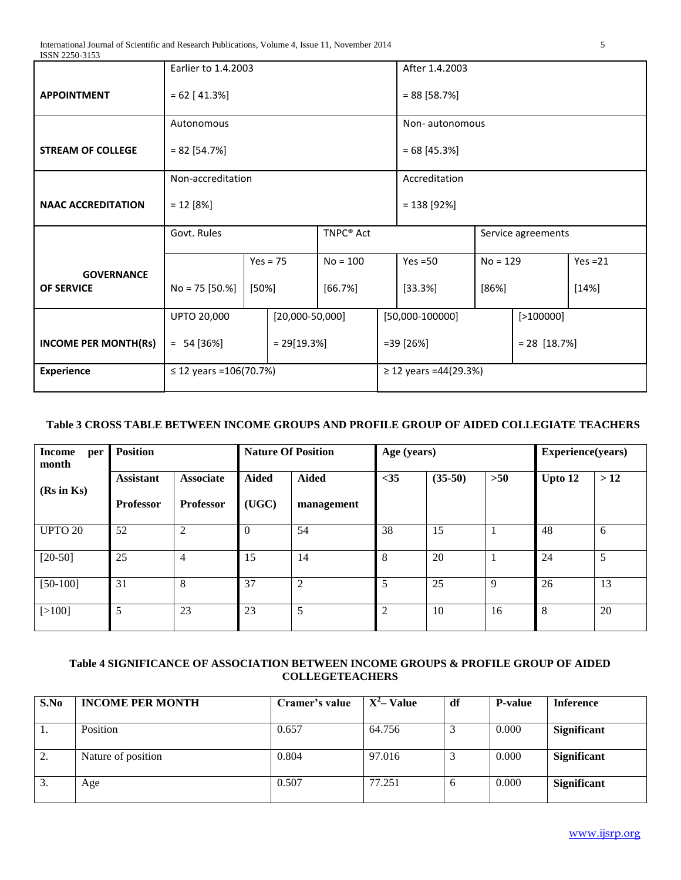| ISSN 2250-3153              |                                         |                 |            |                       |  |                       |                    |           |            |
|-----------------------------|-----------------------------------------|-----------------|------------|-----------------------|--|-----------------------|--------------------|-----------|------------|
|                             | Earlier to 1.4.2003                     |                 |            |                       |  | After 1.4.2003        |                    |           |            |
|                             |                                         |                 |            |                       |  |                       |                    |           |            |
| <b>APPOINTMENT</b>          |                                         | $= 62 [41.3\%]$ |            |                       |  | $= 88 [58.7%]$        |                    |           |            |
|                             | Autonomous                              |                 |            |                       |  | Non-autonomous        |                    |           |            |
| <b>STREAM OF COLLEGE</b>    | $= 82$ [54.7%]                          |                 |            |                       |  | $= 68 [45.3%]$        |                    |           |            |
|                             |                                         |                 |            |                       |  |                       |                    |           |            |
|                             | Non-accreditation                       |                 |            |                       |  | Accreditation         |                    |           |            |
| <b>NAAC ACCREDITATION</b>   | $= 12 [8\%]$                            |                 |            |                       |  | $= 138 [92%]$         |                    |           |            |
|                             |                                         |                 |            |                       |  |                       |                    |           |            |
|                             | Govt. Rules                             |                 |            | TNPC <sup>®</sup> Act |  |                       | Service agreements |           |            |
|                             |                                         |                 | $Yes = 75$ | $No = 100$            |  | $Yes = 50$            | $No = 129$         |           | $Yes = 21$ |
| <b>GOVERNANCE</b>           |                                         |                 |            |                       |  |                       |                    |           |            |
| <b>OF SERVICE</b>           | $No = 75 [50.%]$                        | [50%]           |            | [66.7%]               |  | [33.3%]               | [86%]              |           | [14%]      |
|                             |                                         |                 |            |                       |  |                       |                    |           |            |
|                             | <b>UPTO 20,000</b><br>$[20,000-50,000]$ |                 |            |                       |  | $[50,000-100000]$     |                    | [>100000] |            |
| <b>INCOME PER MONTH(Rs)</b> |                                         |                 |            | $=39[26%]$            |  |                       | $= 28 [18.7%]$     |           |            |
|                             | $= 54 [36\%]$<br>$= 29[19.3%]$          |                 |            |                       |  |                       |                    |           |            |
| <b>Experience</b>           | $\leq$ 12 years = 106(70.7%)            |                 |            |                       |  | ≥ 12 years =44(29.3%) |                    |           |            |
|                             |                                         |                 |            |                       |  |                       |                    |           |            |

# **Table 3 CROSS TABLE BETWEEN INCOME GROUPS AND PROFILE GROUP OF AIDED COLLEGIATE TEACHERS**

| <b>Income</b><br>per<br>month | <b>Position</b>  |                  | <b>Nature Of Position</b> |                | Age (years) |           |       | Experience(years) |     |
|-------------------------------|------------------|------------------|---------------------------|----------------|-------------|-----------|-------|-------------------|-----|
| $(Rs$ in $Ks)$                | <b>Assistant</b> | <b>Associate</b> | <b>Aided</b>              | <b>Aided</b>   | $<$ 35      | $(35-50)$ | $>50$ | Upto 12           | >12 |
|                               | <b>Professor</b> | <b>Professor</b> | (UGC)                     | management     |             |           |       |                   |     |
| <b>UPTO 20</b>                | 52               | $\overline{2}$   | $\Omega$                  | 54             | 38          | 15        |       | 48                | 6   |
| $[20-50]$                     | 25               | 4                | 15                        | 14             | 8           | 20        |       | 24                | 5   |
| $[50-100]$                    | 31               | 8                | 37                        | $\overline{2}$ | 5           | 25        | 9     | 26                | 13  |
| [>100]                        | 5                | 23               | 23                        | 5              | 2           | 10        | 16    | 8                 | 20  |

# **Table 4 SIGNIFICANCE OF ASSOCIATION BETWEEN INCOME GROUPS & PROFILE GROUP OF AIDED COLLEGETEACHERS**

| S.No | <b>INCOME PER MONTH</b> | Cramer's value | $X^2$ – Value | df | <b>P-value</b> | <b>Inference</b>   |
|------|-------------------------|----------------|---------------|----|----------------|--------------------|
|      | Position                | 0.657          | 64.756        |    | 0.000          | <b>Significant</b> |
| 2.   | Nature of position      | 0.804          | 97.016        |    | 0.000          | <b>Significant</b> |
| Ć.   | Age                     | 0.507          | 77.251        | O  | 0.000          | <b>Significant</b> |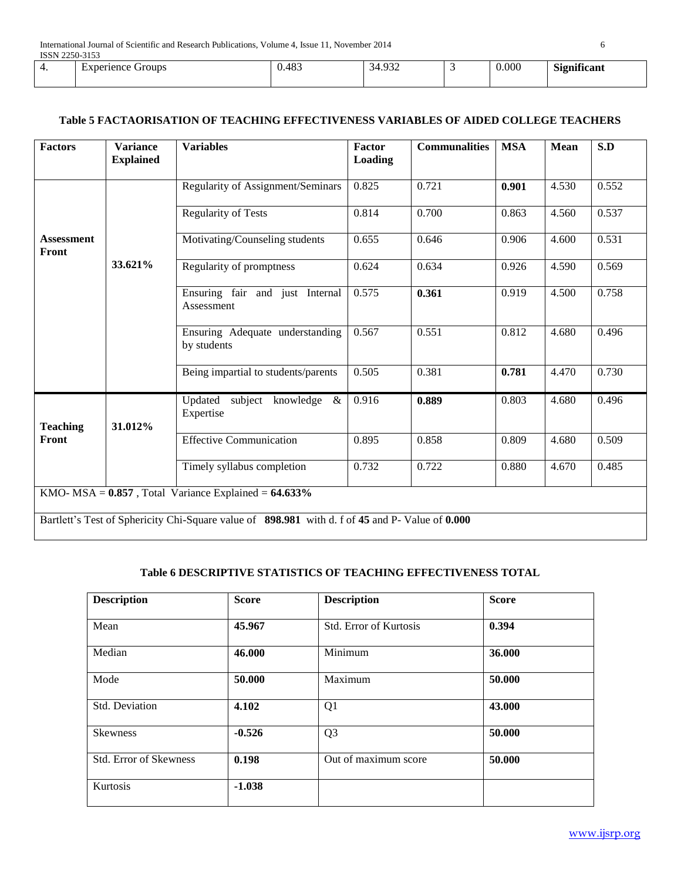| 1001122003130 |                         |                             |                                                                   |                |                                             |
|---------------|-------------------------|-----------------------------|-------------------------------------------------------------------|----------------|---------------------------------------------|
| . .           | Groups<br>perience<br>⊷ | 40 <sup>o</sup><br>$v.-v-.$ | $\Omega$<br>$\sim$<br>- 34<br>ີ<br>.<br>ັ<br>$\sim$ $\sim$ $\sim$ | 0.000<br>$  -$ | $\sim$<br>$\cdot$<br><b>Tenificant</b><br>. |
|               |                         |                             |                                                                   |                |                                             |

## **Table 5 FACTAORISATION OF TEACHING EFFECTIVENESS VARIABLES OF AIDED COLLEGE TEACHERS**

| <b>Factors</b>             | <b>Variance</b><br><b>Explained</b> | <b>Variables</b>                                                                               | Factor<br><b>Loading</b> | <b>Communalities</b> | <b>MSA</b> | Mean  | S.D   |
|----------------------------|-------------------------------------|------------------------------------------------------------------------------------------------|--------------------------|----------------------|------------|-------|-------|
|                            |                                     | Regularity of Assignment/Seminars                                                              | 0.825                    | 0.721                | 0.901      | 4.530 | 0.552 |
|                            |                                     | <b>Regularity of Tests</b>                                                                     | 0.814                    | 0.700                | 0.863      | 4.560 | 0.537 |
| <b>Assessment</b><br>Front |                                     | Motivating/Counseling students                                                                 | 0.655                    | 0.646                | 0.906      | 4.600 | 0.531 |
|                            | 33.621%                             | Regularity of promptness                                                                       | 0.624                    | 0.634                | 0.926      | 4.590 | 0.569 |
|                            |                                     | Ensuring fair and just Internal<br>Assessment                                                  | 0.575                    | 0.361                | 0.919      | 4.500 | 0.758 |
|                            |                                     | Ensuring Adequate understanding<br>by students                                                 | 0.567                    | 0.551                | 0.812      | 4.680 | 0.496 |
|                            |                                     | Being impartial to students/parents                                                            | 0.505                    | 0.381                | 0.781      | 4.470 | 0.730 |
| <b>Teaching</b>            | 31.012%                             | Updated subject knowledge<br>$\&$<br>Expertise                                                 | 0.916                    | 0.889                | 0.803      | 4.680 | 0.496 |
| Front                      |                                     | <b>Effective Communication</b>                                                                 | 0.895                    | 0.858                | 0.809      | 4.680 | 0.509 |
|                            |                                     | Timely syllabus completion                                                                     | 0.732                    | 0.722                | 0.880      | 4.670 | 0.485 |
|                            |                                     | KMO- $MSA = 0.857$ , Total Variance Explained = $64.633\%$                                     |                          |                      |            |       |       |
|                            |                                     | Bartlett's Test of Sphericity Chi-Square value of 898.981 with d. f of 45 and P-Value of 0.000 |                          |                      |            |       |       |

#### **Table 6 DESCRIPTIVE STATISTICS OF TEACHING EFFECTIVENESS TOTAL**

| <b>Description</b>            | <b>Score</b> | <b>Description</b>            | <b>Score</b> |
|-------------------------------|--------------|-------------------------------|--------------|
| Mean                          | 45.967       | <b>Std. Error of Kurtosis</b> | 0.394        |
| Median                        | 46.000       | Minimum                       | 36.000       |
| Mode                          | 50.000       | Maximum                       | 50.000       |
| Std. Deviation                | 4.102        | Q1                            | 43.000       |
| <b>Skewness</b>               | $-0.526$     | Q <sub>3</sub>                | 50.000       |
| <b>Std. Error of Skewness</b> | 0.198        | Out of maximum score          | 50.000       |
| Kurtosis                      | $-1.038$     |                               |              |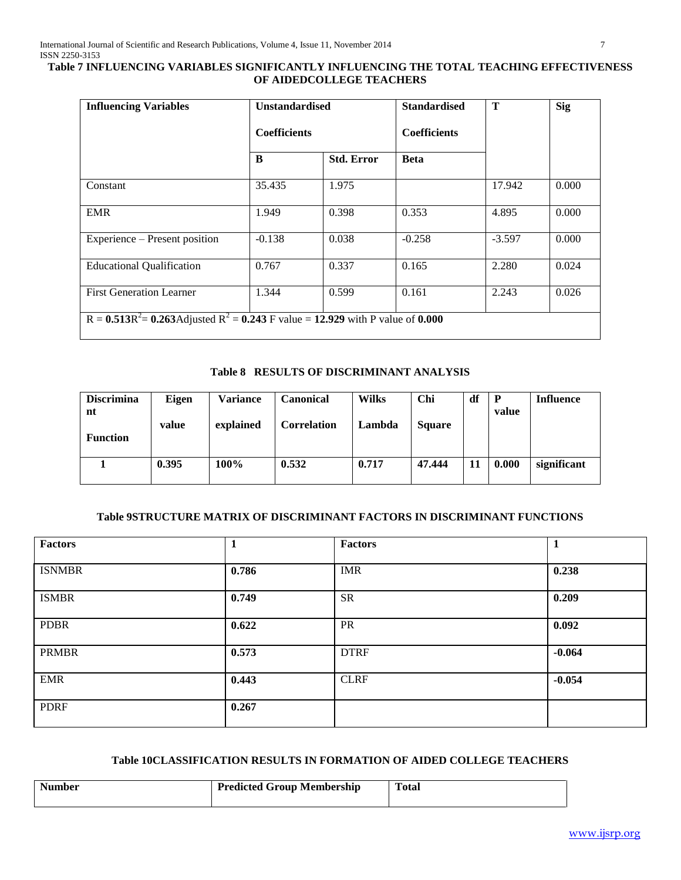## **Table 7 INFLUENCING VARIABLES SIGNIFICANTLY INFLUENCING THE TOTAL TEACHING EFFECTIVENESS OF AIDEDCOLLEGE TEACHERS**

| <b>Influencing Variables</b>                                                         | <b>Unstandardised</b> |                   | <b>Standardised</b> | T        | <b>Sig</b> |
|--------------------------------------------------------------------------------------|-----------------------|-------------------|---------------------|----------|------------|
|                                                                                      | <b>Coefficients</b>   |                   | <b>Coefficients</b> |          |            |
|                                                                                      | B                     | <b>Std. Error</b> | <b>Beta</b>         |          |            |
| Constant                                                                             | 35.435                | 1.975             |                     | 17.942   | 0.000      |
| <b>EMR</b>                                                                           | 1.949                 | 0.398             | 0.353               | 4.895    | 0.000      |
| Experience – Present position                                                        | $-0.138$              | 0.038             | $-0.258$            | $-3.597$ | 0.000      |
| <b>Educational Qualification</b>                                                     | 0.767                 | 0.337             | 0.165               | 2.280    | 0.024      |
| <b>First Generation Learner</b>                                                      | 1.344                 | 0.599             | 0.161               | 2.243    | 0.026      |
| $R = 0.513R^2 = 0.263$ Adjusted $R^2 = 0.243$ F value = 12.929 with P value of 0.000 |                       |                   |                     |          |            |

#### **Table 8 RESULTS OF DISCRIMINANT ANALYSIS**

| <b>Discrimina</b><br>nt | Eigen | Variance  | Canonical   | <b>Wilks</b> | Chi           | df | P<br>value | <b>Influence</b> |
|-------------------------|-------|-----------|-------------|--------------|---------------|----|------------|------------------|
| <b>Function</b>         | value | explained | Correlation | Lambda       | <b>Square</b> |    |            |                  |
|                         | 0.395 | 100%      | 0.532       | 0.717        | 47.444        | 11 | 0.000      | significant      |

## **Table 9STRUCTURE MATRIX OF DISCRIMINANT FACTORS IN DISCRIMINANT FUNCTIONS**

| <b>Factors</b> | 1     | <b>Factors</b> | 1        |
|----------------|-------|----------------|----------|
| <b>ISNMBR</b>  | 0.786 | <b>IMR</b>     | 0.238    |
| <b>ISMBR</b>   | 0.749 | <b>SR</b>      | 0.209    |
| <b>PDBR</b>    | 0.622 | PR             | 0.092    |
| <b>PRMBR</b>   | 0.573 | <b>DTRF</b>    | $-0.064$ |
| <b>EMR</b>     | 0.443 | <b>CLRF</b>    | $-0.054$ |
| <b>PDRF</b>    | 0.267 |                |          |

## **Table 10CLASSIFICATION RESULTS IN FORMATION OF AIDED COLLEGE TEACHERS**

| <b>Number</b> | <b>Predicted Group Membership</b> | <b>Total</b> |
|---------------|-----------------------------------|--------------|
|               |                                   |              |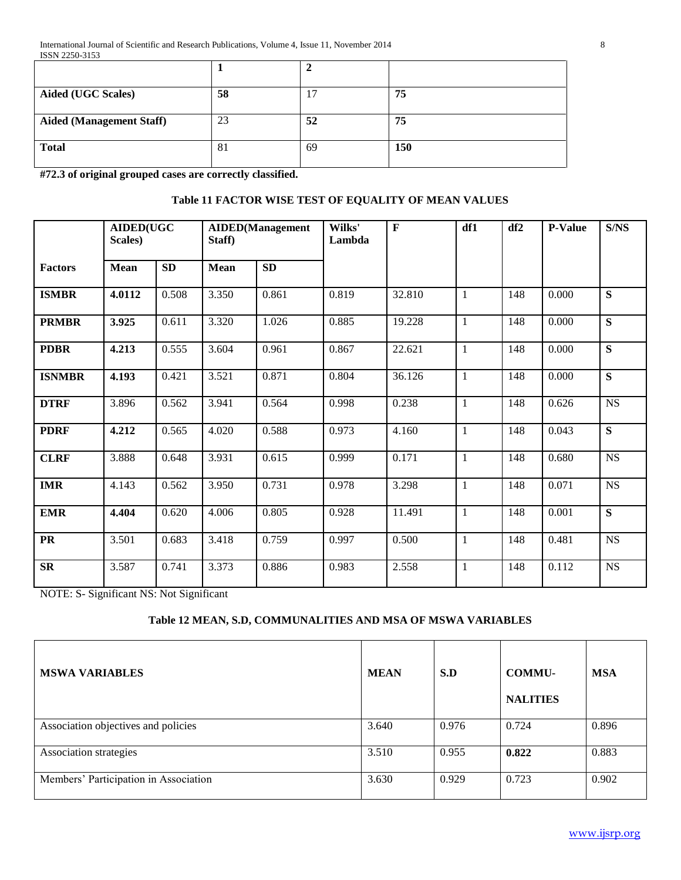| <b>Aided (UGC Scales)</b>       | 58 |    | 75  |
|---------------------------------|----|----|-----|
| <b>Aided (Management Staff)</b> | 23 | 52 | 75  |
| <b>Total</b>                    | 81 | 69 | 150 |

**#72.3 of original grouped cases are correctly classified.**

## **Table 11 FACTOR WISE TEST OF EQUALITY OF MEAN VALUES**

|                | <b>AIDED(UGC</b><br>Scales) |       | Staff)      | <b>AIDED</b> (Management | Wilks'<br>Lambda | $\mathbf F$ | df1          | df2 | <b>P-Value</b> | S/NS        |
|----------------|-----------------------------|-------|-------------|--------------------------|------------------|-------------|--------------|-----|----------------|-------------|
| <b>Factors</b> | <b>Mean</b>                 | SD    | <b>Mean</b> | SD                       |                  |             |              |     |                |             |
| <b>ISMBR</b>   | 4.0112                      | 0.508 | 3.350       | 0.861                    | 0.819            | 32.810      | 1            | 148 | 0.000          | ${\bf S}$   |
| <b>PRMBR</b>   | 3.925                       | 0.611 | 3.320       | 1.026                    | 0.885            | 19.228      | $\mathbf{1}$ | 148 | 0.000          | S           |
| <b>PDBR</b>    | 4.213                       | 0.555 | 3.604       | 0.961                    | 0.867            | 22.621      | 1            | 148 | 0.000          | S           |
| <b>ISNMBR</b>  | 4.193                       | 0.421 | 3.521       | 0.871                    | 0.804            | 36.126      | $\mathbf{1}$ | 148 | 0.000          | S           |
| <b>DTRF</b>    | 3.896                       | 0.562 | 3.941       | 0.564                    | 0.998            | 0.238       | $\mathbf{1}$ | 148 | 0.626          | $_{\rm NS}$ |
| <b>PDRF</b>    | 4.212                       | 0.565 | 4.020       | 0.588                    | 0.973            | 4.160       | $\mathbf{1}$ | 148 | 0.043          | ${\bf S}$   |
| <b>CLRF</b>    | 3.888                       | 0.648 | 3.931       | 0.615                    | 0.999            | 0.171       | 1            | 148 | 0.680          | <b>NS</b>   |
| <b>IMR</b>     | 4.143                       | 0.562 | 3.950       | 0.731                    | 0.978            | 3.298       | $\mathbf{1}$ | 148 | 0.071          | <b>NS</b>   |
| <b>EMR</b>     | 4.404                       | 0.620 | 4.006       | 0.805                    | 0.928            | 11.491      | $\mathbf{1}$ | 148 | 0.001          | S           |
| <b>PR</b>      | 3.501                       | 0.683 | 3.418       | 0.759                    | 0.997            | 0.500       | 1            | 148 | 0.481          | $_{\rm NS}$ |
| <b>SR</b>      | 3.587                       | 0.741 | 3.373       | 0.886                    | 0.983            | 2.558       | 1            | 148 | 0.112          | <b>NS</b>   |

NOTE: S- Significant NS: Not Significant

# **Table 12 MEAN, S.D, COMMUNALITIES AND MSA OF MSWA VARIABLES**

| <b>MSWA VARIABLES</b>                 | <b>MEAN</b> | S.D   | <b>COMMU-</b><br><b>NALITIES</b> | <b>MSA</b> |
|---------------------------------------|-------------|-------|----------------------------------|------------|
| Association objectives and policies   | 3.640       | 0.976 | 0.724                            | 0.896      |
| Association strategies                | 3.510       | 0.955 | 0.822                            | 0.883      |
| Members' Participation in Association | 3.630       | 0.929 | 0.723                            | 0.902      |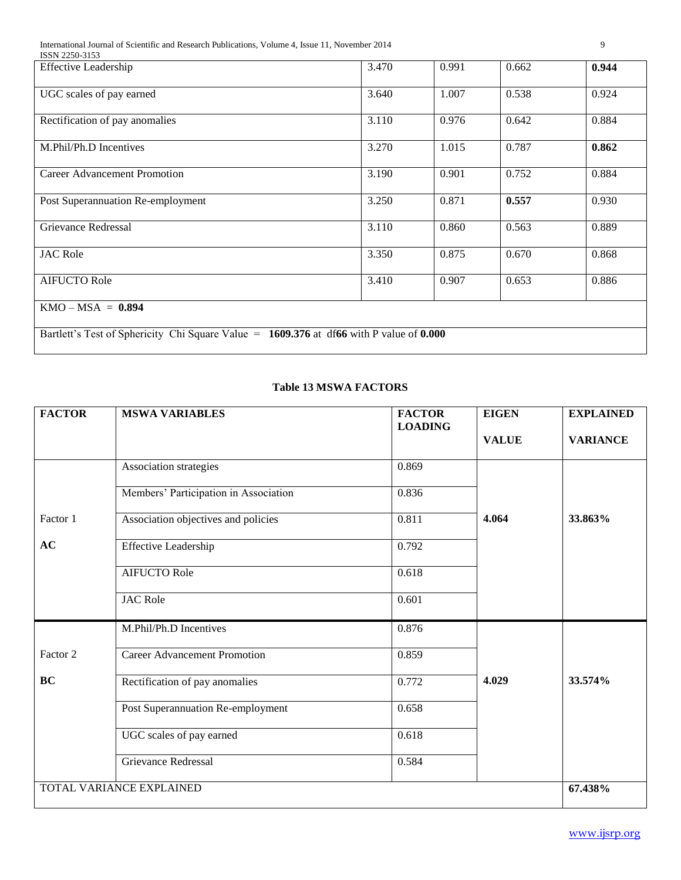International Journal of Scientific and Research Publications, Volume 4, Issue 11, November 2014 9

| ISSN 2250-3153                                                                          |       |       |       |       |
|-----------------------------------------------------------------------------------------|-------|-------|-------|-------|
| <b>Effective Leadership</b>                                                             | 3.470 | 0.991 | 0.662 | 0.944 |
| UGC scales of pay earned                                                                | 3.640 | 1.007 | 0.538 | 0.924 |
| Rectification of pay anomalies                                                          | 3.110 | 0.976 | 0.642 | 0.884 |
| M.Phil/Ph.D Incentives                                                                  | 3.270 | 1.015 | 0.787 | 0.862 |
| Career Advancement Promotion                                                            | 3.190 | 0.901 | 0.752 | 0.884 |
| Post Superannuation Re-employment                                                       | 3.250 | 0.871 | 0.557 | 0.930 |
| Grievance Redressal                                                                     | 3.110 | 0.860 | 0.563 | 0.889 |
| <b>JAC Role</b>                                                                         | 3.350 | 0.875 | 0.670 | 0.868 |
| <b>AIFUCTO Role</b>                                                                     | 3.410 | 0.907 | 0.653 | 0.886 |
| $KMO - MSA = 0.894$                                                                     |       |       |       |       |
| Bartlett's Test of Sphericity Chi Square Value = 1609.376 at df66 with P value of 0.000 |       |       |       |       |

# **Table 13 MSWA FACTORS**

| <b>FACTOR</b>            | <b>MSWA VARIABLES</b>                 | <b>FACTOR</b><br><b>LOADING</b> | <b>EIGEN</b> | <b>EXPLAINED</b> |  |
|--------------------------|---------------------------------------|---------------------------------|--------------|------------------|--|
|                          |                                       |                                 | <b>VALUE</b> | <b>VARIANCE</b>  |  |
|                          | Association strategies                | 0.869                           |              |                  |  |
|                          | Members' Participation in Association | 0.836                           |              |                  |  |
| Factor 1                 | Association objectives and policies   | 0.811                           | 4.064        | 33.863%          |  |
| AC                       | <b>Effective Leadership</b>           | 0.792                           |              |                  |  |
|                          | <b>AIFUCTO Role</b>                   | 0.618                           |              |                  |  |
|                          | <b>JAC Role</b>                       | 0.601                           |              |                  |  |
|                          | M.Phil/Ph.D Incentives                | 0.876                           |              |                  |  |
| Factor 2                 | <b>Career Advancement Promotion</b>   | 0.859                           |              |                  |  |
| <b>BC</b>                | Rectification of pay anomalies        | 0.772                           | 4.029        | 33.574%          |  |
|                          | Post Superannuation Re-employment     | 0.658                           |              |                  |  |
|                          | UGC scales of pay earned              | 0.618                           |              |                  |  |
|                          | Grievance Redressal                   | 0.584                           |              |                  |  |
| TOTAL VARIANCE EXPLAINED | 67.438%                               |                                 |              |                  |  |